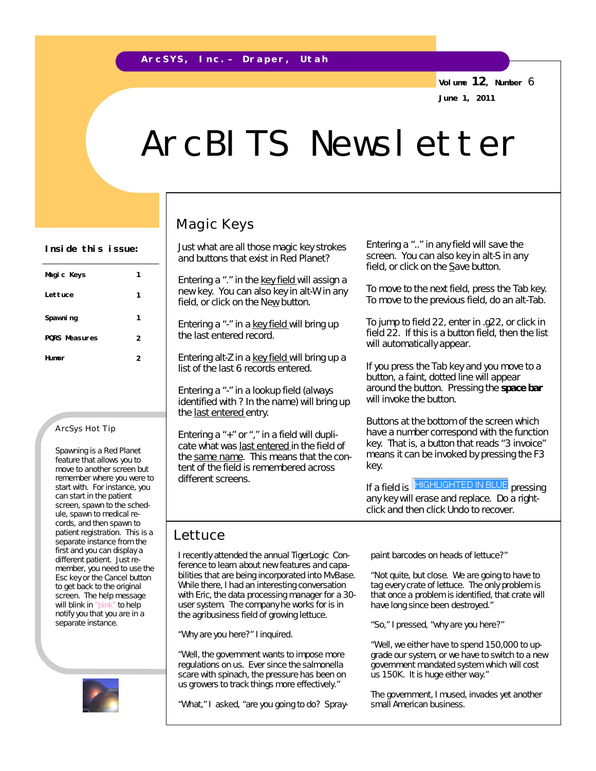**Volume 12, Number** 6 **June 1, 2011**

# ArcBITS Newsletter

## Magic Keys

Inside this issue: **Inside this issue: I** Just what are all those magic key strokes Entering a ".." in any field will save the and buttons that exist in Red Planet?

> Entering a "." in the *key field* will assign a new key. You can also key in alt-W in any field, or click on the New button.

Entering a "-" in a *key field* will bring up the last entered record.

Entering alt-Z in a *key field* will bring up a list of the last 6 records entered.

Entering a "-" in a lookup field (always identified with ? In the name) will bring up the *last entered* entry.

Entering  $a^*$  +" or "," in a field will duplicate what was *last entered* in the field of the *same name*. This means that the content of the field is remembered across different screens.

# screen. You can also key in alt-S in any field, or click on the Save button.

To move to the next field, press the Tab key. To move to the previous field, do an alt-Tab.

To jump to field 22, enter in .g22, or click in field 22. If this is a button field, then the list will automatically appear.

If you press the Tab key and you move to a button, a faint, dotted line will appear around the button. Pressing the **space bar**  will invoke the button.

Buttons at the bottom of the screen which have a number correspond with the function key. That is, a button that reads "3 invoice" means it can be invoked by pressing the F3 key.

If a field is **HIGHLIGHTED IN BLUE** pressing any key will erase and replace. Do a rightclick and then click Undo to recover.

### Lettuce

I recently attended the annual TigerLogic Conference to learn about new features and capabilities that are being incorporated into MvBase. While there, I had an interesting conversation with Eric, the data processing manager for a 30 user system. The company he works for is in the agribusiness field of growing lettuce.

"Why are you here?" I inquired.

"Well, the government wants to impose more regulations on us. Ever since the salmonella scare with spinach, the pressure has been on us growers to track things more effectively."

"What," I asked, "are you going to do? Spray-

paint barcodes on heads of lettuce?"

"Not quite, but close. We are going to have to tag every crate of lettuce. The only problem is that once a problem is identified, that crate will have long since been destroyed."

"So," I pressed, "why are you here?"

"Well, we either have to spend 150,000 to upgrade our system, or we have to switch to a new government mandated system which will cost us 150K. It is huge either way."

The government, I mused, invades yet another small American business.

| Magic Keys | 1 |
|------------|---|
| Lettuce    |   |
| Spawni ng  |   |

**PQRS Measures 2 Humor 2**

#### ArcSys Hot Tip

Spawning is a Red Planet feature that allows you to move to another screen but remember where you were to start with. For instance, you can start in the patient screen, spawn to the schedule, spawn to medical records, and then spawn to patient registration. This is a separate instance from the first and you can display a different patient. Just remember, you need to use the Esc key or the Cancel button to get back to the original screen. The help message will blink in "pink" to help notify you that you are in a separate instance.